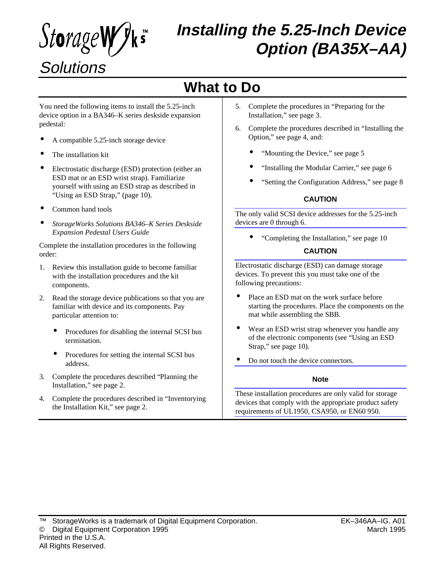*StorageWyks* **Solutions** 

# **Installing the 5.25-Inch Device Option (BA35X–AA)**

# **What to Do**

You need the following items to install the 5.25-inch device option in a BA346–K series deskside expansion pedestal:

- A compatible 5.25-inch storage device
- The installation kit
- Electrostatic discharge (ESD) protection (either an ESD mat or an ESD wrist strap). Familiarize yourself with using an ESD strap as described in "Using an ESD Strap," (page 10).
- Common hand tools
- *StorageWorks Solutions BA346–K Series Deskside Expansion Pedestal Users Guide*

Complete the installation procedures in the following order:

- 1. Review this installation guide to become familiar with the installation procedures and the kit components.
- 2. Read the storage device publications so that you are familiar with device and its components. Pay particular attention to:
	- Procedures for disabling the internal SCSI bus termination.
	- Procedures for setting the internal SCSI bus address.
- 3. Complete the procedures described "Planning the Installation," see page 2.
- 4. Complete the procedures described in "Inventorying the Installation Kit," see page 2.
- 5. Complete the procedures in "Preparing for the Installation," see page 3.
- 6. Complete the procedures described in "Installing the Option," see page 4, and:
	- "Mounting the Device," see page 5
	- "Installing the Modular Carrier," see page 6
	- "Setting the Configuration Address," see page 8

#### **CAUTION**

The only valid SCSI device addresses for the 5.25-inch devices are 0 through 6.

• "Completing the Installation," see page 10

#### **CAUTION**

Electrostatic discharge (ESD) can damage storage devices. To prevent this you must take one of the following precautions:

- Place an ESD mat on the work surface before starting the procedures. Place the components on the mat while assembling the SBB.
- Wear an ESD wrist strap whenever you handle any of the electronic components (see "Using an ESD Strap," see page 10).
- Do not touch the device connectors.

#### **Note**

These installation procedures are only valid for storage devices that comply with the appropriate product safety requirements of UL1950, CSA950, or EN60 950.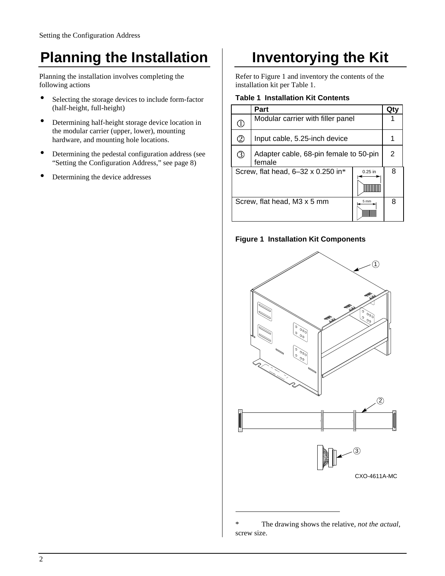# **Planning the Installation**

Planning the installation involves completing the following actions

- Selecting the storage devices to include form-factor (half-height, full-height)
- Determining half-height storage device location in the modular carrier (upper, lower), mounting hardware, and mounting hole locations.
- Determining the pedestal configuration address (see "Setting the Configuration Address," see page 8)
- Determining the device addresses

## **Inventorying the Kit**

Refer to Figure 1 and inventory the contents of the installation kit per Table 1.

#### **Table 1 Installation Kit Contents**

|                                                 | Part                                             |   |   |
|-------------------------------------------------|--------------------------------------------------|---|---|
| T                                               | Modular carrier with filler panel                |   |   |
| 2                                               | Input cable, 5.25-inch device                    |   |   |
| ③                                               | Adapter cable, 68-pin female to 50-pin<br>female |   | 2 |
| Screw, flat head, 6-32 x 0.250 in*<br>$0.25$ in |                                                  | 8 |   |
| Screw, flat head, M3 x 5 mm<br>5 <sub>mm</sub>  |                                                  | 8 |   |

#### **Figure 1 Installation Kit Components**



<sup>\*</sup> The drawing shows the relative, *not the actual*, screw size.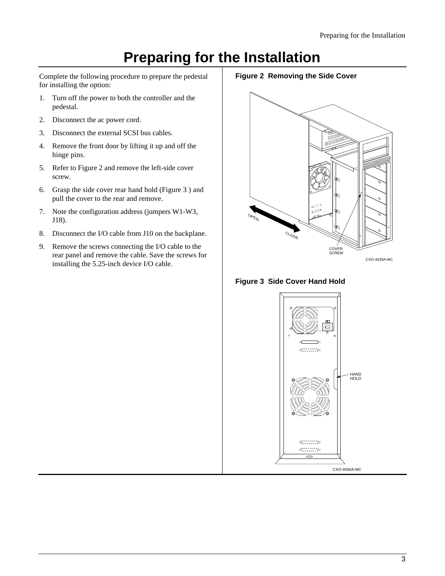## **Preparing for the Installation**

Complete the following procedure to prepare the pedestal for installing the option:

- 1. Turn off the power to both the controller and the pedestal.
- 2. Disconnect the ac power cord.
- 3. Disconnect the external SCSI bus cables.
- 4. Remove the front door by lifting it up and off the hinge pins.
- 5. Refer to Figure 2 and remove the left-side cover screw.
- 6. Grasp the side cover rear hand hold (Figure 3 ) and pull the cover to the rear and remove.
- 7. Note the configuration address (jumpers W1-W3, J18).
- 8. Disconnect the I/O cable from J10 on the backplane.
- 9. Remove the screws connecting the I/O cable to the rear panel and remove the cable. Save the screws for installing the 5.25-inch device I/O cable.

**Figure 2 Removing the Side Cover**





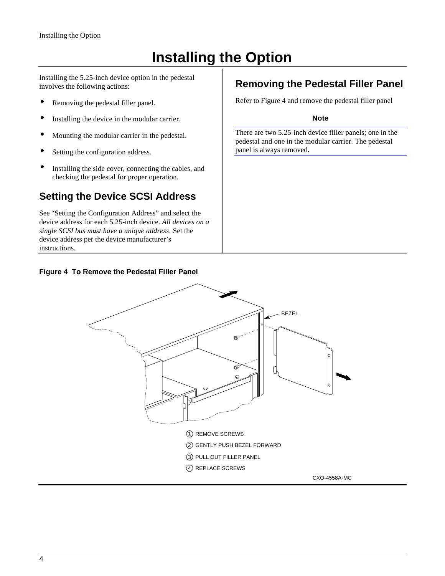# **Installing the Option**

Installing the 5.25-inch device option in the pedestal involves the following actions:

- Removing the pedestal filler panel.
- Installing the device in the modular carrier.
- Mounting the modular carrier in the pedestal.
- Setting the configuration address.
- Installing the side cover, connecting the cables, and checking the pedestal for proper operation.

### **Setting the Device SCSI Address**

See "Setting the Configuration Address" and select the device address for each 5.25-inch device. *All devices on a single SCSI bus must have a unique address*. Set the device address per the device manufacturer's instructions.

### **Figure 4 To Remove the Pedestal Filler Panel**

### **Removing the Pedestal Filler Panel**

Refer to Figure 4 and remove the pedestal filler panel

#### **Note**

There are two 5.25-inch device filler panels; one in the pedestal and one in the modular carrier. The pedestal panel is always removed.

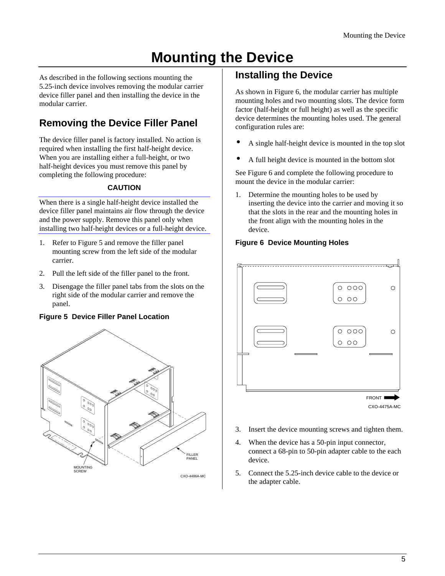# **Mounting the Device**

As described in the following sections mounting the 5.25-inch device involves removing the modular carrier device filler panel and then installing the device in the modular carrier.

### **Removing the Device Filler Panel**

The device filler panel is factory installed. No action is required when installing the first half-height device. When you are installing either a full-height, or two half-height devices you must remove this panel by completing the following procedure:

### **CAUTION**

When there is a single half-height device installed the device filler panel maintains air flow through the device and the power supply. Remove this panel only when installing two half-height devices or a full-height device.

- 1. Refer to Figure 5 and remove the filler panel mounting screw from the left side of the modular carrier.
- 2. Pull the left side of the filler panel to the front.
- 3. Disengage the filler panel tabs from the slots on the right side of the modular carrier and remove the panel.

### **Figure 5 Device Filler Panel Location**



### **Installing the Device**

As shown in Figure 6, the modular carrier has multiple mounting holes and two mounting slots. The device form factor (half-height or full height) as well as the specific device determines the mounting holes used. The general configuration rules are:

- A single half-height device is mounted in the top slot
- A full height device is mounted in the bottom slot

See Figure 6 and complete the following procedure to mount the device in the modular carrier:

1. Determine the mounting holes to be used by inserting the device into the carrier and moving it so that the slots in the rear and the mounting holes in the front align with the mounting holes in the device.

### **Figure 6 Device Mounting Holes**



- 3. Insert the device mounting screws and tighten them.
- 4. When the device has a 50-pin input connector, connect a 68-pin to 50-pin adapter cable to the each device.
- 5. Connect the 5.25-inch device cable to the device or the adapter cable.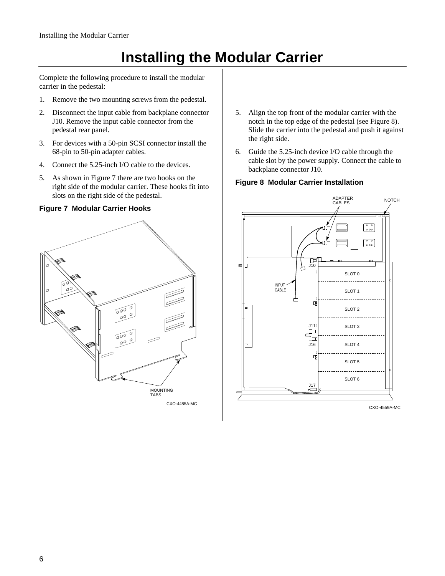# **Installing the Modular Carrier**

Complete the following procedure to install the modular carrier in the pedestal:

- 1. Remove the two mounting screws from the pedestal.
- 2. Disconnect the input cable from backplane connector J10. Remove the input cable connector from the pedestal rear panel.
- 3. For devices with a 50-pin SCSI connector install the 68-pin to 50-pin adapter cables.
- 4. Connect the 5.25-inch I/O cable to the devices.
- 5. As shown in Figure 7 there are two hooks on the right side of the modular carrier. These hooks fit into slots on the right side of the pedestal.

### **Figure 7 Modular Carrier Hooks**



- 5. Align the top front of the modular carrier with the notch in the top edge of the pedestal (see Figure 8). Slide the carrier into the pedestal and push it against the right side.
- 6. Guide the 5.25-inch device I/O cable through the cable slot by the power supply. Connect the cable to backplane connector J10.

### **Figure 8 Modular Carrier Installation**

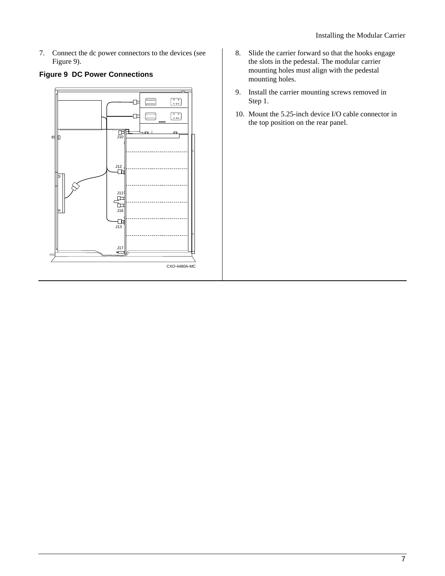7. Connect the dc power connectors to the devices (see Figure 9).

### **Figure 9 DC Power Connections**



- 8. Slide the carrier forward so that the hooks engage the slots in the pedestal. The modular carrier mounting holes must align with the pedestal mounting holes.
- 9. Install the carrier mounting screws removed in Step 1.
- 10. Mount the 5.25-inch device I/O cable connector in the top position on the rear panel.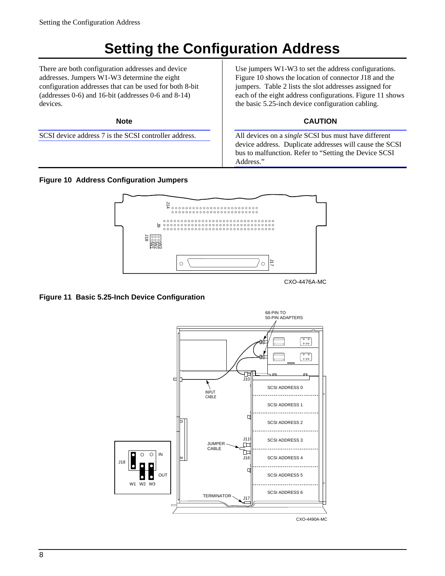# **Setting the Configuration Address**

There are both configuration addresses and device addresses. Jumpers W1-W3 determine the eight configuration addresses that can be used for both 8-bit (addresses 0-6) and 16-bit (addresses 0-6 and 8-14) devices.

**Note**

SCSI device address 7 is the SCSI controller address.

**Figure 10 Address Configuration Jumpers**

Use jumpers W1-W3 to set the address configurations. Figure 10 shows the location of connector J18 and the jumpers. Table 2 lists the slot addresses assigned for each of the eight address configurations. Figure 11 shows the basic 5.25-inch device configuration cabling.

### **CAUTION**

All devices on a *single* SCSI bus must have different device address. Duplicate addresses will cause the SCSI bus to malfunction. Refer to "Setting the Device SCSI Address."



CXO-4476A-MC

### **Figure 11 Basic 5.25-Inch Device Configuration**

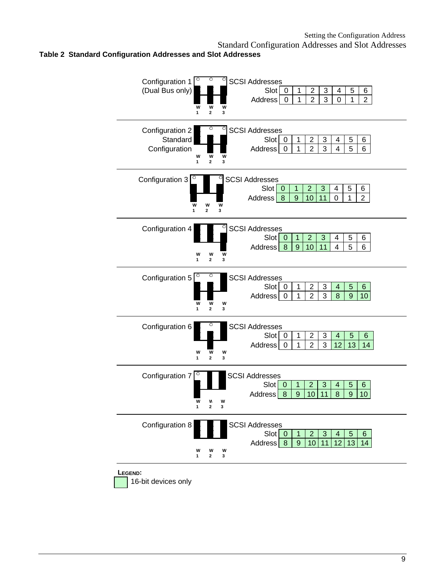#### Standard Configuration Addresses and Slot Addresses **Table 2 Standard Configuration Addresses and Slot Addresses**